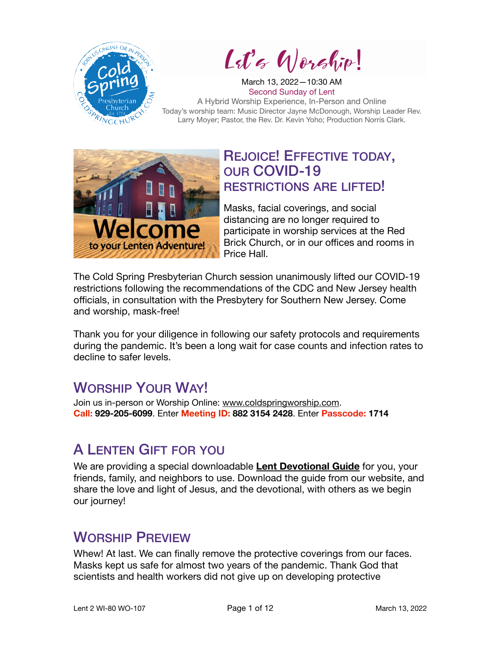

Let's Worship!

March 13, 2022—10:30 AM Second Sunday of Lent A Hybrid Worship Experience, In-Person and Online Today's worship team: Music Director Jayne McDonough, Worship Leader Rev. Larry Moyer; Pastor, the Rev. Dr. Kevin Yoho; Production Norris Clark.



### REJOICE! EFFECTIVE TODAY, OUR COVID-19 RESTRICTIONS ARE LIFTED!

Masks, facial coverings, and social distancing are no longer required to participate in worship services at the Red Brick Church, or in our offices and rooms in Price Hall.

The Cold Spring Presbyterian Church session unanimously lifted our COVID-19 restrictions following the recommendations of the CDC and New Jersey health officials, in consultation with the Presbytery for Southern New Jersey. Come and worship, mask-free!

Thank you for your diligence in following our safety protocols and requirements during the pandemic. It's been a long wait for case counts and infection rates to decline to safer levels.

## WORSHIP YOUR WAY!

Join us in-person or Worship Online: [www.coldspringworship.com.](http://www.coldspringworship.com) **Call: 929-205-6099**. Enter **Meeting ID: 882 3154 2428**. Enter **Passcode: 1714**

## A LENTEN GIFT FOR YOU

We are providing a special downloadable **[Lent Devotional Guide](https://coldspringchurch.com/wp-content/uploads/2022/03/2022-Lent-Devotions-Cold-Spring-Church.pdf)** for you, your friends, family, and neighbors to use. Download the guide from our website, and share the love and light of Jesus, and the devotional, with others as we begin our journey!

## WORSHIP PREVIEW

Whew! At last. We can finally remove the protective coverings from our faces. Masks kept us safe for almost two years of the pandemic. Thank God that scientists and health workers did not give up on developing protective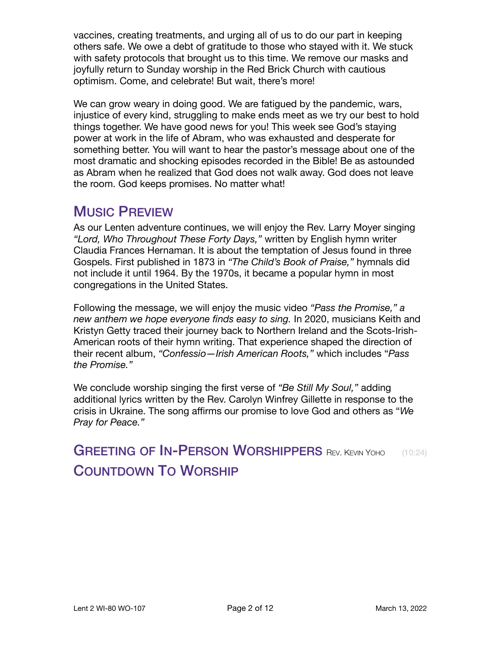vaccines, creating treatments, and urging all of us to do our part in keeping others safe. We owe a debt of gratitude to those who stayed with it. We stuck with safety protocols that brought us to this time. We remove our masks and joyfully return to Sunday worship in the Red Brick Church with cautious optimism. Come, and celebrate! But wait, there's more!

We can grow weary in doing good. We are fatigued by the pandemic, wars, injustice of every kind, struggling to make ends meet as we try our best to hold things together. We have good news for you! This week see God's staying power at work in the life of Abram, who was exhausted and desperate for something better. You will want to hear the pastor's message about one of the most dramatic and shocking episodes recorded in the Bible! Be as astounded as Abram when he realized that God does not walk away. God does not leave the room. God keeps promises. No matter what!

### MUSIC PREVIEW

As our Lenten adventure continues, we will enjoy the Rev. Larry Moyer singing *"Lord, Who Throughout These Forty Days,"* written by English hymn writer Claudia Frances Hernaman. It is about the temptation of Jesus found in three Gospels. First published in 1873 in *"The Child's Book of Praise,"* hymnals did not include it until 1964. By the 1970s, it became a popular hymn in most congregations in the United States.

Following the message, we will enjoy the music video *"Pass the Promise," a new anthem we hope everyone finds easy to sing.* In 2020, musicians Keith and Kristyn Getty traced their journey back to Northern Ireland and the Scots-Irish-American roots of their hymn writing. That experience shaped the direction of their recent album, *"Confessio—Irish American Roots,"* which includes "*Pass the Promise."* 

We conclude worship singing the first verse of *"Be Still My Soul,"* adding additional lyrics written by the Rev. Carolyn Winfrey Gillette in response to the crisis in Ukraine. The song affirms our promise to love God and others as "*We Pray for Peace."*

GREETING OF IN-PERSON WORSHIPPERS REV. KEVIN YOHO (10:24) COUNTDOWN TO WORSHIP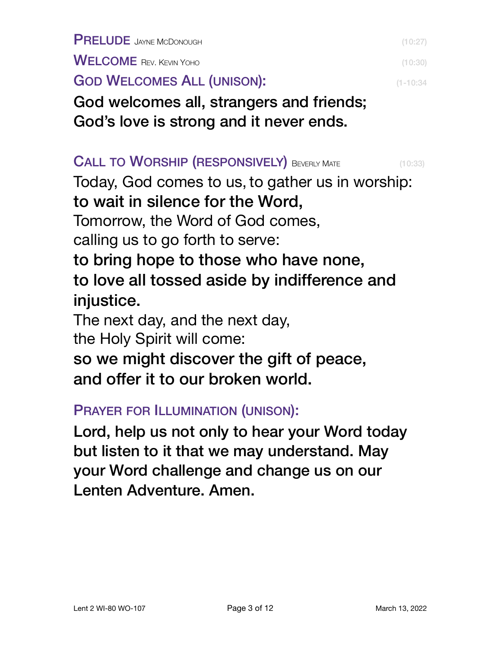PRELUDE JAYNE MCDONOUGH (10:27)

WELCOME REV. KEVIN YOHO (10:30)

GOD WELCOMES ALL (UNISON): **COD** WELCOMES ALL (UNISON):

God welcomes all, strangers and friends; God's love is strong and it never ends.

#### CALL TO WORSHIP (RESPONSIVELY) BEVERLY MATE (10:33)

Today, God comes to us, to gather us in worship: to wait in silence for the Word, Tomorrow, the Word of God comes, calling us to go forth to serve: to bring hope to those who have none, to love all tossed aside by indifference and injustice. The next day, and the next day,

the Holy Spirit will come:

so we might discover the gift of peace,

and offer it to our broken world.

PRAYER FOR ILLUMINATION (UNISON):

Lord, help us not only to hear your Word today but listen to it that we may understand. May your Word challenge and change us on our Lenten Adventure. Amen.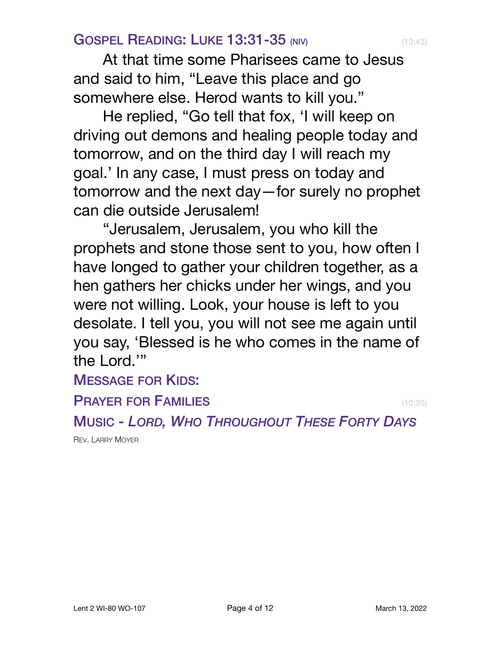### **GOSPEL READING: LUKE 13:31-35 (NIV)** (10:42)

At that time some Pharisees came to Jesus and said to him, "Leave this place and go somewhere else. Herod wants to kill you."

He replied, "Go tell that fox, 'I will keep on driving out demons and healing people today and tomorrow, and on the third day I will reach my goal.' In any case, I must press on today and tomorrow and the next day—for surely no prophet can die outside Jerusalem!

"Jerusalem, Jerusalem, you who kill the prophets and stone those sent to you, how often I have longed to gather your children together, as a hen gathers her chicks under her wings, and you were not willing. Look, your house is left to you desolate. I tell you, you will not see me again until you say, 'Blessed is he who comes in the name of the Lord.'"

## MESSAGE FOR KIDS:

#### **PRAYER FOR FAMILIES** (10:35)

MUSIC - *LORD, WHO THROUGHOUT THESE FORTY DAYS*

REV. LARRY MOYER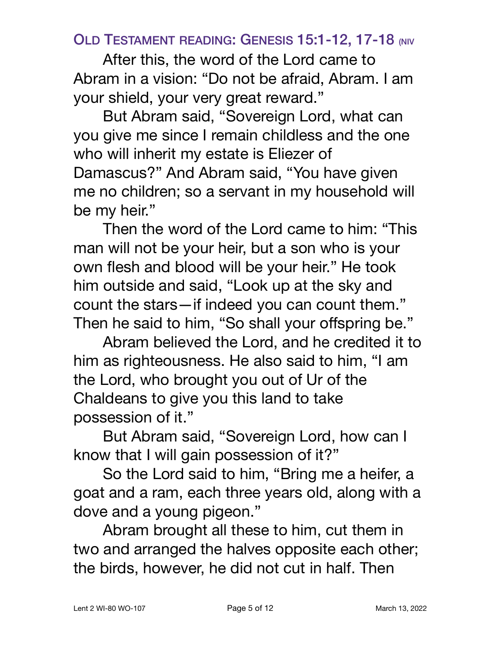### OLD TESTAMENT READING: GENESIS 15:1-12, 17-18 (NIV

After this, the word of the Lord came to Abram in a vision: "Do not be afraid, Abram. I am your shield, your very great reward."

But Abram said, "Sovereign Lord, what can you give me since I remain childless and the one who will inherit my estate is Eliezer of Damascus?" And Abram said, "You have given me no children; so a servant in my household will be my heir."

Then the word of the Lord came to him: "This man will not be your heir, but a son who is your own flesh and blood will be your heir." He took him outside and said, "Look up at the sky and count the stars—if indeed you can count them." Then he said to him, "So shall your offspring be."

Abram believed the Lord, and he credited it to him as righteousness. He also said to him, "I am the Lord, who brought you out of Ur of the Chaldeans to give you this land to take possession of it."

But Abram said, "Sovereign Lord, how can I know that I will gain possession of it?"

So the Lord said to him, "Bring me a heifer, a goat and a ram, each three years old, along with a dove and a young pigeon."

Abram brought all these to him, cut them in two and arranged the halves opposite each other; the birds, however, he did not cut in half. Then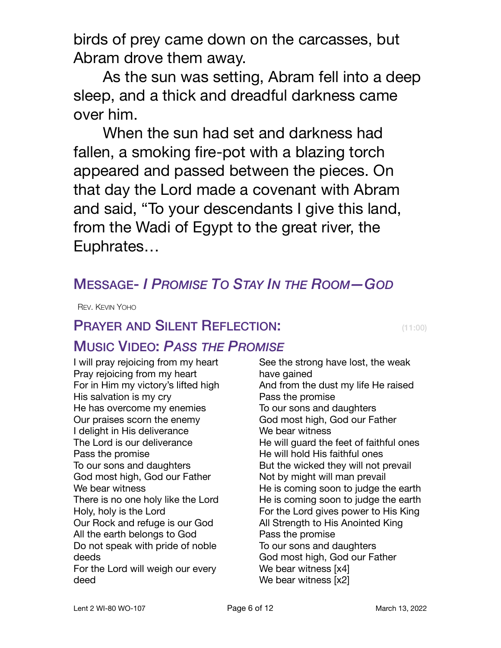birds of prey came down on the carcasses, but Abram drove them away.

As the sun was setting, Abram fell into a deep sleep, and a thick and dreadful darkness came over him.

When the sun had set and darkness had fallen, a smoking fire-pot with a blazing torch appeared and passed between the pieces. On that day the Lord made a covenant with Abram and said, "To your descendants I give this land, from the Wadi of Egypt to the great river, the Euphrates…

## MESSAGE- *I PROMISE TO STAY IN THE ROOM—GOD*

REV. KEVIN YOHO

## **PRAYER AND SILENT REFLECTION:** (11:00)

## MUSIC VIDEO: *PASS THE PROMISE*

I will pray rejoicing from my heart Pray rejoicing from my heart For in Him my victory's lifted high His salvation is my cry He has overcome my enemies Our praises scorn the enemy I delight in His deliverance The Lord is our deliverance Pass the promise To our sons and daughters God most high, God our Father We bear witness There is no one holy like the Lord Holy, holy is the Lord Our Rock and refuge is our God All the earth belongs to God Do not speak with pride of noble deeds For the Lord will weigh our every deed

See the strong have lost, the weak have gained And from the dust my life He raised Pass the promise To our sons and daughters God most high, God our Father We bear witness He will guard the feet of faithful ones He will hold His faithful ones But the wicked they will not prevail Not by might will man prevail He is coming soon to judge the earth He is coming soon to judge the earth For the Lord gives power to His King All Strength to His Anointed King Pass the promise To our sons and daughters God most high, God our Father We bear witness [x4] We bear witness [x2]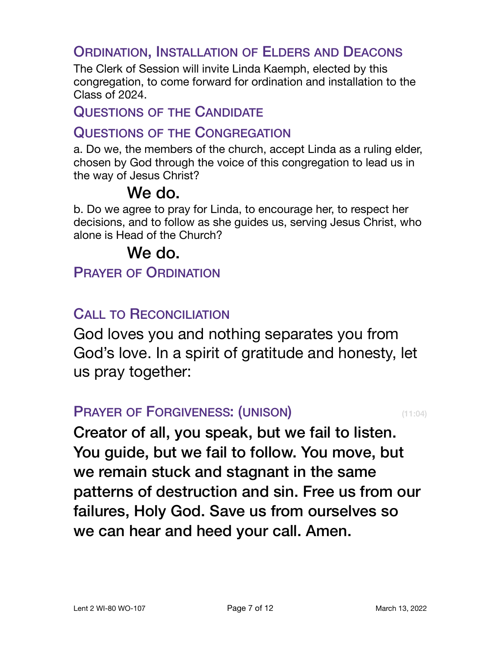### ORDINATION, INSTALLATION OF ELDERS AND DEACONS

The Clerk of Session will invite Linda Kaemph, elected by this congregation, to come forward for ordination and installation to the Class of 2024.

#### QUESTIONS OF THE CANDIDATE

#### QUESTIONS OF THE CONGREGATION

a. Do we, the members of the church, accept Linda as a ruling elder, chosen by God through the voice of this congregation to lead us in the way of Jesus Christ?

## We do.

b. Do we agree to pray for Linda, to encourage her, to respect her decisions, and to follow as she guides us, serving Jesus Christ, who alone is Head of the Church?

## We do.

PRAYER OF ORDINATION

## CALL TO RECONCILIATION

God loves you and nothing separates you from God's love. In a spirit of gratitude and honesty, let us pray together:

#### **PRAYER OF FORGIVENESS: (UNISON)** (11:04)

Creator of all, you speak, but we fail to listen. You guide, but we fail to follow. You move, but we remain stuck and stagnant in the same patterns of destruction and sin. Free us from our failures, Holy God. Save us from ourselves so we can hear and heed your call. Amen.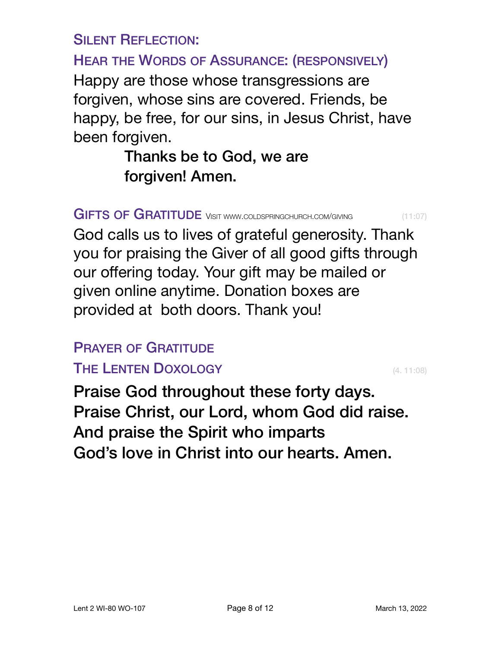SILENT REFLECTION:

HEAR THE WORDS OF ASSURANCE: (RESPONSIVELY)

Happy are those whose transgressions are forgiven, whose sins are covered. Friends, be happy, be free, for our sins, in Jesus Christ, have been forgiven.

> Thanks be to God, we are forgiven! Amen.

GIFTS OF GRATITUDE VISIT [WWW.COLDSPRINGCHURCH.COM/GIVING](http://www.coldspringchurch.com/giving) (11:07)

God calls us to lives of grateful generosity. Thank you for praising the Giver of all good gifts through our offering today. Your gift may be mailed or given [online](https://www.coldspringchurch.com/giving) anytime. Donation boxes are provided at both doors. Thank you!

## PRAYER OF GRATITUDE

## THE LENTEN DOXOLOGY **EXECUTER SERVICES CALL 11:08)**

Praise God throughout these forty days. Praise Christ, our Lord, whom God did raise. And praise the Spirit who imparts God's love in Christ into our hearts. Amen.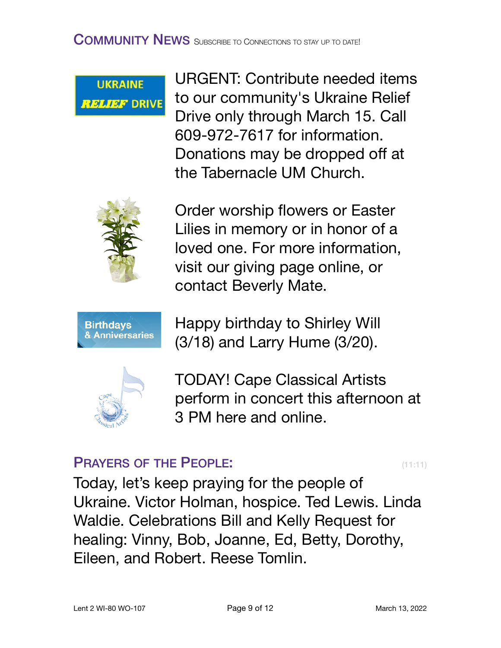**UKRAINE RELIEF DRIVE**  URGENT: Contribute needed items to our community's Ukraine Relief Drive only through March 15. Call 609-972-7617 for information. Donations may be dropped off at the Tabernacle UM Church.



Order worship flowers or Easter Lilies in memory or in honor of a loved one. For more information, visit our giving page online, or contact Beverly Mate.



Happy birthday to Shirley Will (3/18) and Larry Hume (3/20).



TODAY! Cape Classical Artists perform in concert this afternoon at 3 PM here and online.

## **PRAYERS OF THE PEOPLE:** (11:11)

Today, let's keep praying for the people of Ukraine. Victor Holman, hospice. Ted Lewis. Linda Waldie. Celebrations Bill and Kelly Request for healing: Vinny, Bob, Joanne, Ed, Betty, Dorothy, Eileen, and Robert. Reese Tomlin.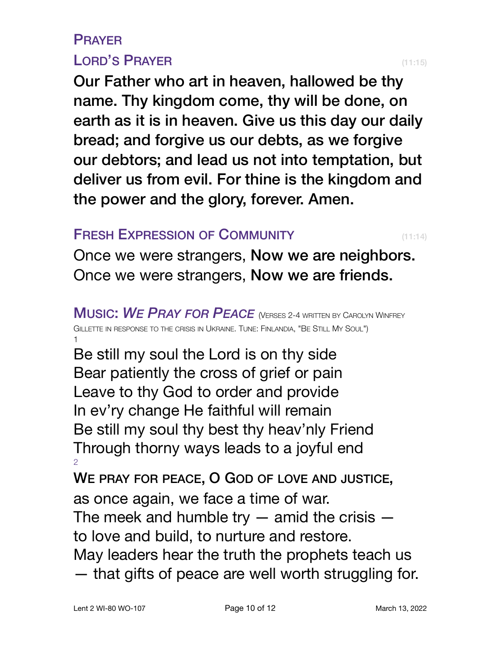## PRAYER LORD'S PRAYER (11:15)

Our Father who art in heaven, hallowed be thy name. Thy kingdom come, thy will be done, on earth as it is in heaven. Give us this day our daily bread; and forgive us our debts, as we forgive our debtors; and lead us not into temptation, but deliver us from evil. For thine is the kingdom and the power and the glory, forever. Amen.

### **FRESH EXPRESSION OF COMMUNITY** (11:14)

Once we were strangers, Now we are neighbors. Once we were strangers, Now we are friends.

MUSIC: *WE PRAY FOR PEACE* (VERSES 2-4 WRITTEN BY CAROLYN WINFREY GILLETTE IN RESPONSE TO THE CRISIS IN UKRAINE. TUNE: FINLANDIA, "BE STILL MY SOUL") 1

Be still my soul the Lord is on thy side Bear patiently the cross of grief or pain Leave to thy God to order and provide In ev'ry change He faithful will remain Be still my soul thy best thy heav'nly Friend Through thorny ways leads to a joyful end 2

WE PRAY FOR PEACE, O GOD OF LOVE AND JUSTICE, as once again, we face a time of war.

The meek and humble try  $-$  amid the crisis  $$ to love and build, to nurture and restore.

May leaders hear the truth the prophets teach us

— that gifts of peace are well worth struggling for.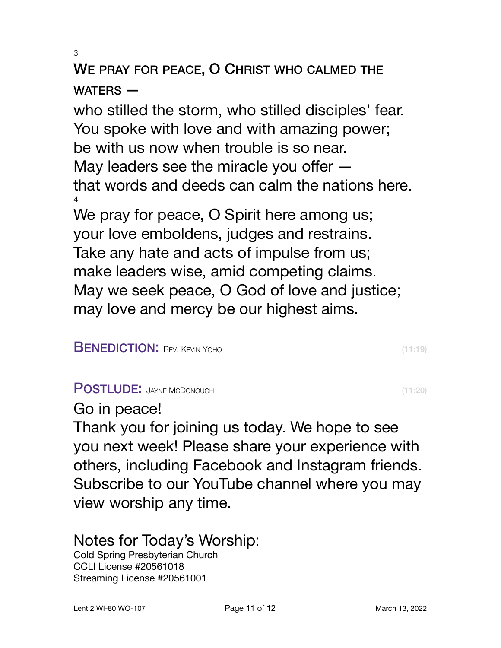3

# WE PRAY FOR PEACE, O CHRIST WHO CALMED THE WATERS —

who stilled the storm, who stilled disciples' fear. You spoke with love and with amazing power; be with us now when trouble is so near. May leaders see the miracle you offer that words and deeds can calm the nations here. 4 We pray for peace, O Spirit here among us; your love emboldens, judges and restrains. Take any hate and acts of impulse from us; make leaders wise, amid competing claims.

May we seek peace, O God of love and justice; may love and mercy be our highest aims.

#### **BENEDICTION:** REV. KEVIN YOHO (11:19)

#### POSTLUDE: JAYNE MCDONOUGH (11:20)

### Go in peace!

Thank you for joining us today. We hope to see you next week! Please share your experience with others, including Facebook and Instagram friends. Subscribe to our YouTube channel where you may view worship any time.

## Notes for Today's Worship:

Cold Spring Presbyterian Church CCLI License #20561018 Streaming License #20561001